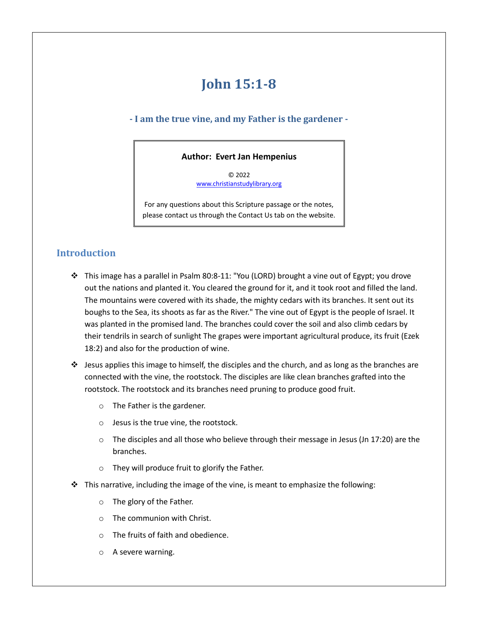# **John 15:1-8**

## **- I am the true vine, and my Father is the gardener -**

## **Author: Evert Jan Hempenius**

© 2022 [www.christianstudylibrary.org](http://www.christianstudylibrary.org/)

For any questions about this Scripture passage or the notes, please contact us through the Contact Us tab on the website.

# **Introduction**

- ❖ This image has a parallel in Psalm 80:8-11: "You (LORD) brought a vine out of Egypt; you drove out the nations and planted it. You cleared the ground for it, and it took root and filled the land. The mountains were covered with its shade, the mighty cedars with its branches. It sent out its boughs to the Sea, its shoots as far as the River." The vine out of Egypt is the people of Israel. It was planted in the promised land. The branches could cover the soil and also climb cedars by their tendrils in search of sunlight The grapes were important agricultural produce, its fruit (Ezek 18:2) and also for the production of wine.
- ❖ Jesus applies this image to himself, the disciples and the church, and as long as the branches are connected with the vine, the rootstock. The disciples are like clean branches grafted into the rootstock. The rootstock and its branches need pruning to produce good fruit.
	- o The Father is the gardener.
	- o Jesus is the true vine, the rootstock.
	- $\circ$  The disciples and all those who believe through their message in Jesus (Jn 17:20) are the branches.
	- o They will produce fruit to glorify the Father.
- $\cdot \cdot$  This narrative, including the image of the vine, is meant to emphasize the following:
	- o The glory of the Father.
	- o The communion with Christ.
	- o The fruits of faith and obedience.
	- o A severe warning.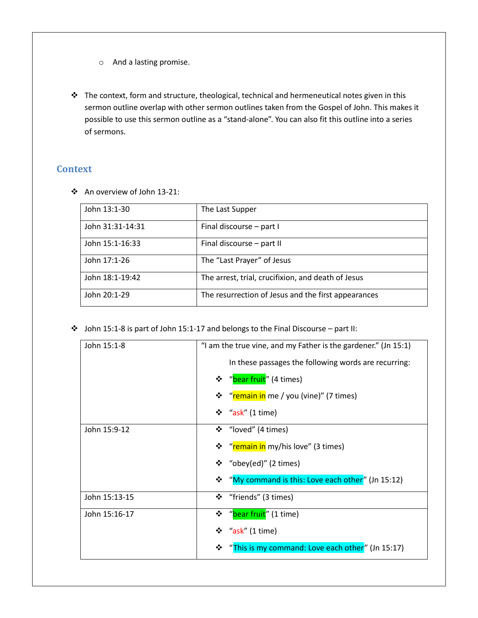- o And a lasting promise.
- ❖ The context, form and structure, theological, technical and hermeneutical notes given in this sermon outline overlap with other sermon outlines taken from the Gospel of John. This makes it possible to use this sermon outline as a "stand-alone". You can also fit this outline into a series of sermons.

## **Context**

❖ An overview of John 13-21:

| John 13:1-30     | The Last Supper                                     |  |
|------------------|-----------------------------------------------------|--|
| John 31:31-14:31 | Final discourse - part I                            |  |
| John 15:1-16:33  | Final discourse - part II                           |  |
| John 17:1-26     | The "Last Prayer" of Jesus                          |  |
| John 18:1-19:42  | The arrest, trial, crucifixion, and death of Jesus  |  |
| John 20:1-29     | The resurrection of Jesus and the first appearances |  |

❖ John 15:1-8 is part of John 15:1-17 and belongs to the Final Discourse – part II:

| John 15:1-8   | "I am the true vine, and my Father is the gardener." (Jn 15:1) |  |  |
|---------------|----------------------------------------------------------------|--|--|
|               | In these passages the following words are recurring:           |  |  |
|               | ❖ "bear fruit" (4 times)                                       |  |  |
|               | ❖ "remain in me / you (vine)" (7 times)                        |  |  |
|               | $\div$ "ask" (1 time)                                          |  |  |
| John 15:9-12  | ❖ "loved" (4 times)                                            |  |  |
|               | ❖ "remain in my/his love" (3 times)                            |  |  |
|               | ❖ "obey(ed)" (2 times)                                         |  |  |
|               | * "My command is this: Love each other" (Jn 15:12)             |  |  |
| John 15:13-15 | ❖<br>"friends" (3 times)                                       |  |  |
| John 15:16-17 | ❖ "bear fruit" (1 time)                                        |  |  |
|               | $\div$ "ask" (1 time)                                          |  |  |
|               | "This is my command: Love each other" (Jn 15:17)<br>❖          |  |  |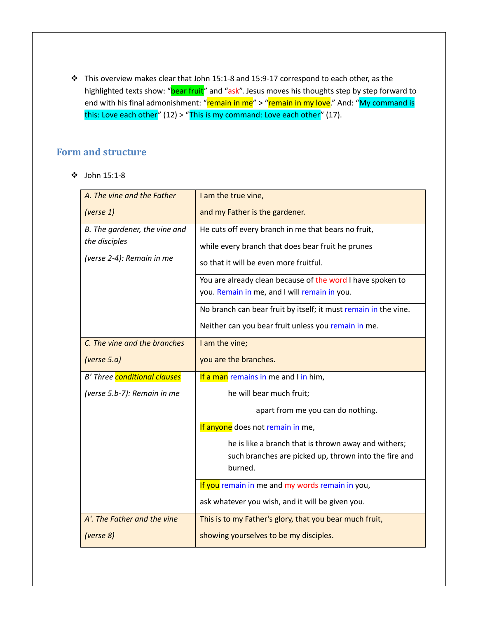❖ This overview makes clear that John 15:1-8 and 15:9-17 correspond to each other, as the highlighted texts show: "bear fruit" and "ask". Jesus moves his thoughts step by step forward to end with his final admonishment: "remain in me" > "remain in my love." And: "My command is this: Love each other" (12) > "This is my command: Love each other" (17).

## **Form and structure**

❖ John 15:1-8

| A. The vine and the Father    | I am the true vine,                                             |  |  |
|-------------------------------|-----------------------------------------------------------------|--|--|
| (verse 1)                     | and my Father is the gardener.                                  |  |  |
| B. The gardener, the vine and | He cuts off every branch in me that bears no fruit,             |  |  |
| the disciples                 | while every branch that does bear fruit he prunes               |  |  |
| (verse 2-4): Remain in me     | so that it will be even more fruitful.                          |  |  |
|                               | You are already clean because of the word I have spoken to      |  |  |
|                               | you. Remain in me, and I will remain in you.                    |  |  |
|                               | No branch can bear fruit by itself; it must remain in the vine. |  |  |
|                               | Neither can you bear fruit unless you remain in me.             |  |  |
| C. The vine and the branches  | I am the vine;                                                  |  |  |
| (verse $5.a$ )                | you are the branches.                                           |  |  |
| B' Three conditional clauses  | If a man remains in me and I in him,                            |  |  |
| (verse 5.b-7): Remain in me   | he will bear much fruit;                                        |  |  |
|                               | apart from me you can do nothing.                               |  |  |
|                               | If anyone does not remain in me,                                |  |  |
|                               | he is like a branch that is thrown away and withers;            |  |  |
|                               | such branches are picked up, thrown into the fire and           |  |  |
|                               | burned.                                                         |  |  |
|                               | If you remain in me and my words remain in you,                 |  |  |
|                               | ask whatever you wish, and it will be given you.                |  |  |
| A'. The Father and the vine   | This is to my Father's glory, that you bear much fruit,         |  |  |
| (verse 8)                     | showing yourselves to be my disciples.                          |  |  |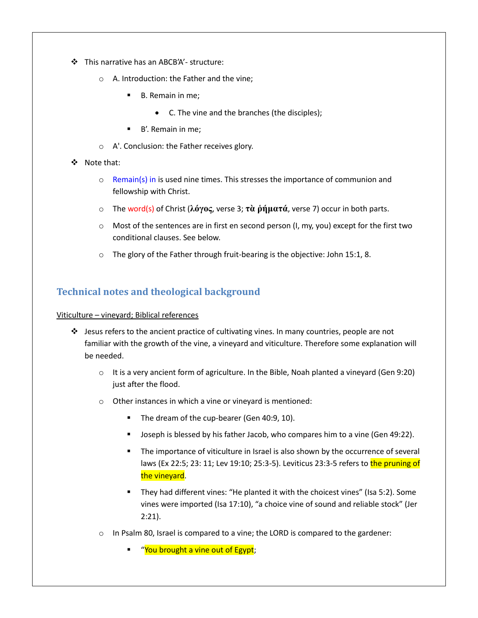- ❖ This narrative has an ABCB'A'- structure:
	- o A. Introduction: the Father and the vine;
		- B. Remain in me:
			- C. The vine and the branches (the disciples);
		- B'. Remain in me;
	- o A'. Conclusion: the Father receives glory.
- ❖ Note that:
	- $\circ$  Remain(s) in is used nine times. This stresses the importance of communion and fellowship with Christ.
	- o The word(s) of Christ (**λόγος**, verse 3; **τὰ ῥήματά**, verse 7) occur in both parts.
	- $\circ$  Most of the sentences are in first en second person (I, my, you) except for the first two conditional clauses. See below.
	- $\circ$  The glory of the Father through fruit-bearing is the objective: John 15:1, 8.

# **Technical notes and theological background**

#### Viticulture – vineyard; Biblical references

- $\clubsuit$  Jesus refers to the ancient practice of cultivating vines. In many countries, people are not familiar with the growth of the vine, a vineyard and viticulture. Therefore some explanation will be needed.
	- $\circ$  It is a very ancient form of agriculture. In the Bible, Noah planted a vineyard (Gen 9:20) just after the flood.
	- o Other instances in which a vine or vineyard is mentioned:
		- The dream of the cup-bearer (Gen 40:9, 10).
		- Joseph is blessed by his father Jacob, who compares him to a vine (Gen 49:22).
		- The importance of viticulture in Israel is also shown by the occurrence of several laws (Ex 22:5; 23: 11; Lev 19:10; 25:3-5). Leviticus 23:3-5 refers to the pruning of the vineyard.
		- They had different vines: "He planted it with the choicest vines" (Isa 5:2). Some vines were imported (Isa 17:10), "a choice vine of sound and reliable stock" (Jer 2:21).
	- o In Psalm 80, Israel is compared to a vine; the LORD is compared to the gardener:
		- "You brought a vine out of Egypt;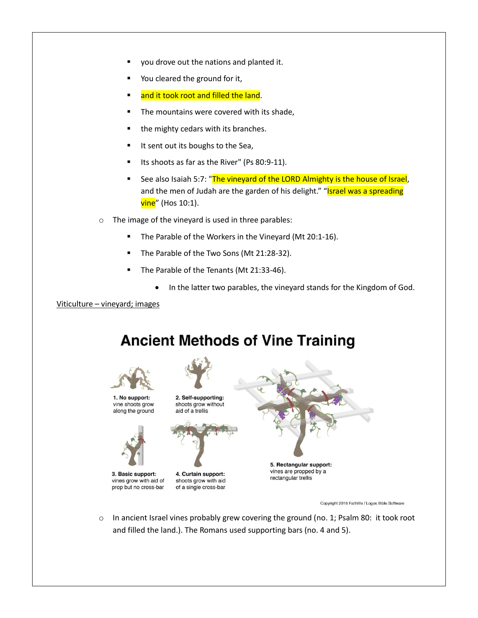- you drove out the nations and planted it.
- You cleared the ground for it,
- and it took root and filled the land.
- The mountains were covered with its shade,
- the mighty cedars with its branches.
- It sent out its boughs to the Sea,
- Its shoots as far as the River" (Ps 80:9-11).
- See also Isaiah 5:7: "The vineyard of the LORD Almighty is the house of Israel, and the men of Judah are the garden of his delight." "Israel was a spreading **vine**" (Hos 10:1).
- o The image of the vineyard is used in three parables:
	- The Parable of the Workers in the Vineyard (Mt 20:1-16).
	- The Parable of the Two Sons (Mt 21:28-32).
	- The Parable of the Tenants (Mt 21:33-46).
		- In the latter two parables, the vineyard stands for the Kingdom of God.

Viticulture – vineyard; images

# **Ancient Methods of Vine Training**



Copyright 2016 Faithlife / Logos Bible Software

 $\circ$  In ancient Israel vines probably grew covering the ground (no. 1; Psalm 80: it took root and filled the land.). The Romans used supporting bars (no. 4 and 5).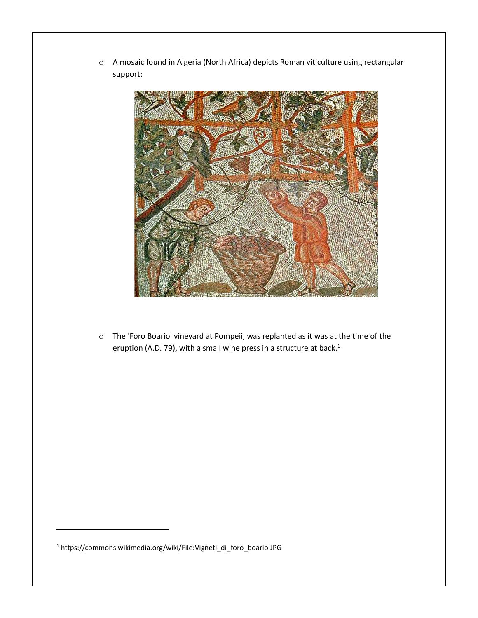o A mosaic found in Algeria (North Africa) depicts Roman viticulture using rectangular support:



o The 'Foro Boario' vineyard at Pompeii, was replanted as it was at the time of the eruption (A.D. 79), with a small wine press in a structure at back.<sup>1</sup>

<sup>1</sup> https://commons.wikimedia.org/wiki/File:Vigneti\_di\_foro\_boario.JPG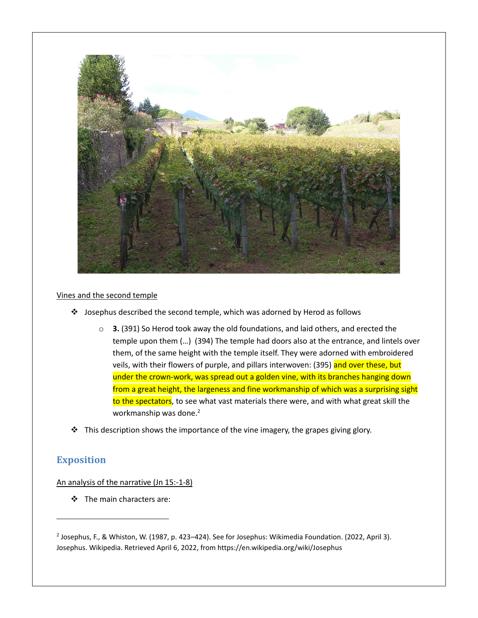

#### Vines and the second temple

- ❖ Josephus described the second temple, which was adorned by Herod as follows
	- o **3.** (391) So Herod took away the old foundations, and laid others, and erected the temple upon them (…) (394) The temple had doors also at the entrance, and lintels over them, of the same height with the temple itself. They were adorned with embroidered veils, with their flowers of purple, and pillars interwoven: (395) and over these, but under the crown-work, was spread out a golden vine, with its branches hanging down from a great height, the largeness and fine workmanship of which was a surprising sight to the spectators, to see what vast materials there were, and with what great skill the workmanship was done.<sup>2</sup>
- ❖ This description shows the importance of the vine imagery, the grapes giving glory.

## **Exposition**

An analysis of the narrative (Jn 15:-1-8)

❖ The main characters are:

<sup>2</sup> Josephus, F., & Whiston, W. (1987, p. 423–424). See for Josephus: Wikimedia Foundation. (2022, April 3). Josephus. Wikipedia. Retrieved April 6, 2022, from https://en.wikipedia.org/wiki/Josephus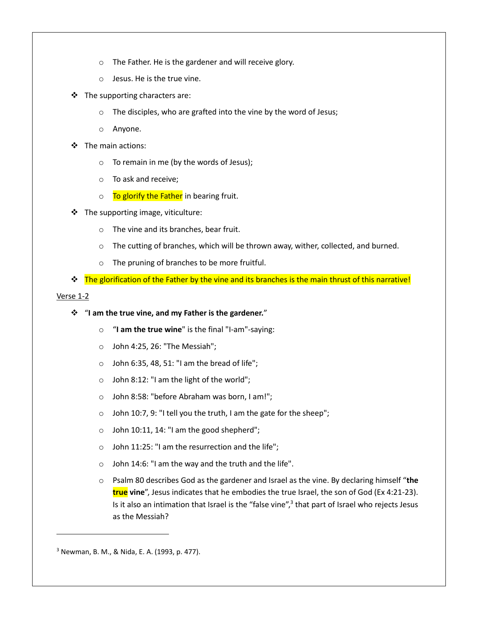- o The Father. He is the gardener and will receive glory.
- o Jesus. He is the true vine.
- $\div$  The supporting characters are:
	- o The disciples, who are grafted into the vine by the word of Jesus;
	- o Anyone.
- ❖ The main actions:
	- o To remain in me (by the words of Jesus);
	- o To ask and receive;
	- $\circ$  To glorify the Father in bearing fruit.
- ❖ The supporting image, viticulture:
	- o The vine and its branches, bear fruit.
	- $\circ$  The cutting of branches, which will be thrown away, wither, collected, and burned.
	- o The pruning of branches to be more fruitful.
- ❖ The glorification of the Father by the vine and its branches is the main thrust of this narrative!

#### Verse 1-2

### ❖ "**I am the true vine, and my Father is the gardener.**"

- o "**I am the true wine**" is the final "I-am"-saying:
- $\circ$  John 4:25, 26: "The Messiah";
- $\circ$  John 6:35, 48, 51: "I am the bread of life";
- o John 8:12: "I am the light of the world";
- o John 8:58: "before Abraham was born, I am!";
- o John 10:7, 9: "I tell you the truth, I am the gate for the sheep";
- o John 10:11, 14: "I am the good shepherd";
- o John 11:25: "I am the resurrection and the life";
- o John 14:6: "I am the way and the truth and the life".
- o Psalm 80 describes God as the gardener and Israel as the vine. By declaring himself "**the true vine**", Jesus indicates that he embodies the true Israel, the son of God (Ex 4:21-23). Is it also an intimation that Israel is the "false vine",<sup>3</sup> that part of Israel who rejects Jesus as the Messiah?

<sup>3</sup> Newman, B. M., & Nida, E. A. (1993, p. 477).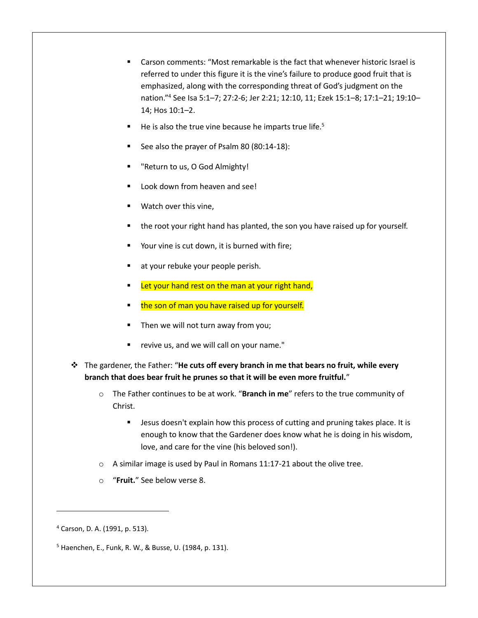- Carson comments: "Most remarkable is the fact that whenever historic Israel is referred to under this figure it is the vine's failure to produce good fruit that is emphasized, along with the corresponding threat of God's judgment on the nation."<sup>4</sup> See Isa 5:1–7; 27:2-6; Jer 2:21; 12:10, 11; Ezek 15:1–8; 17:1–21; 19:10– 14; Hos 10:1–2.
- He is also the true vine because he imparts true life.<sup>5</sup>
- See also the prayer of Psalm 80 (80:14-18):
- "Return to us, O God Almighty!
- Look down from heaven and see!
- Watch over this vine,
- the root your right hand has planted, the son you have raised up for yourself.
- Your vine is cut down, it is burned with fire;
- at your rebuke your people perish.
- Let your hand rest on the man at your right hand,
- the son of man you have raised up for yourself.
- Then we will not turn away from you;
- revive us, and we will call on your name."
- ❖ The gardener, the Father: "**He cuts off every branch in me that bears no fruit, while every branch that does bear fruit he prunes so that it will be even more fruitful.**"
	- o The Father continues to be at work. "**Branch in me**" refers to the true community of Christ.
		- Jesus doesn't explain how this process of cutting and pruning takes place. It is enough to know that the Gardener does know what he is doing in his wisdom, love, and care for the vine (his beloved son!).
	- o A similar image is used by Paul in Romans 11:17-21 about the olive tree.
	- o "**Fruit.**" See below verse 8.

<sup>4</sup> Carson, D. A. (1991, p. 513).

<sup>5</sup> Haenchen, E., Funk, R. W., & Busse, U. (1984, p. 131).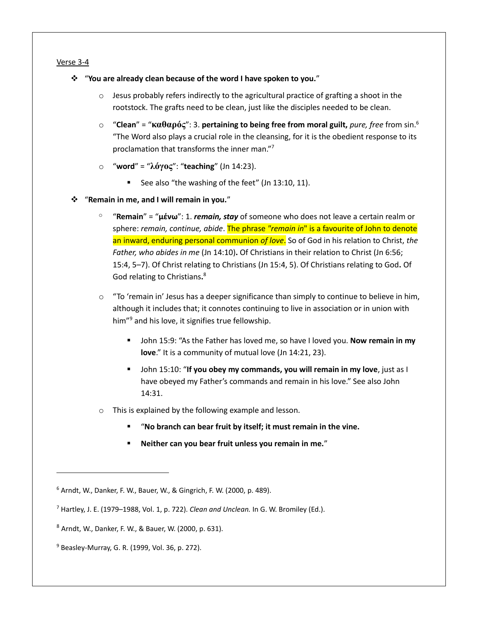#### Verse 3-4

- ❖ "**You are already clean because of the word I have spoken to you.**"
	- $\circ$  Jesus probably refers indirectly to the agricultural practice of grafting a shoot in the rootstock. The grafts need to be clean, just like the disciples needed to be clean.
	- o "**Clean**" = "**καθαρός**": 3. **pertaining to being free from moral guilt,** *pure, free* from sin.<sup>6</sup> "The Word also plays a crucial role in the cleansing, for it is the obedient response to its proclamation that transforms the inner man."<sup>7</sup>
	- o "**word**" = "**λόγος**": "**teaching**" (Jn 14:23).
		- See also "the washing of the feet" (Jn 13:10, 11).
- ❖ "**Remain in me, and I will remain in you.**"
	- <sup>o</sup> "**Remain**" = "**μένω**": 1. *remain, stay* of someone who does not leave a certain realm or sphere: *remain, continue, abide*. The phrase *"remain in*" is a favourite of John to denote an inward, enduring personal communion *of love*. So of God in his relation to Christ, *the Father, who abides in me* (Jn 14:10)**.** Of Christians in their relation to Christ (Jn 6:56; 15:4, 5–7). Of Christ relating to Christians (Jn 15:4, 5). Of Christians relating to God**.** Of God relating to Christians**.** 8
	- $\circ$  "To 'remain in' Jesus has a deeper significance than simply to continue to believe in him, although it includes that; it connotes continuing to live in association or in union with him"<sup>9</sup> and his love, it signifies true fellowship.
		- John 15:9: "As the Father has loved me, so have I loved you. **Now remain in my love**." It is a community of mutual love (Jn 14:21, 23).
		- John 15:10: "If you obey my commands, you will remain in my love, just as I have obeyed my Father's commands and remain in his love." See also John 14:31.
	- o This is explained by the following example and lesson.
		- "No branch can bear fruit by itself; it must remain in the vine.
		- Neither can you bear fruit unless you remain in me."

<sup>6</sup> Arndt, W., Danker, F. W., Bauer, W., & Gingrich, F. W. (2000, p. 489).

<sup>7</sup> Hartley, J. E. (1979–1988, Vol. 1, p. 722). *Clean and Unclean.* In G. W. Bromiley (Ed.).

<sup>8</sup> Arndt, W., Danker, F. W., & Bauer, W. (2000, p. 631).

<sup>9</sup> Beasley-Murray, G. R. (1999, Vol. 36, p. 272).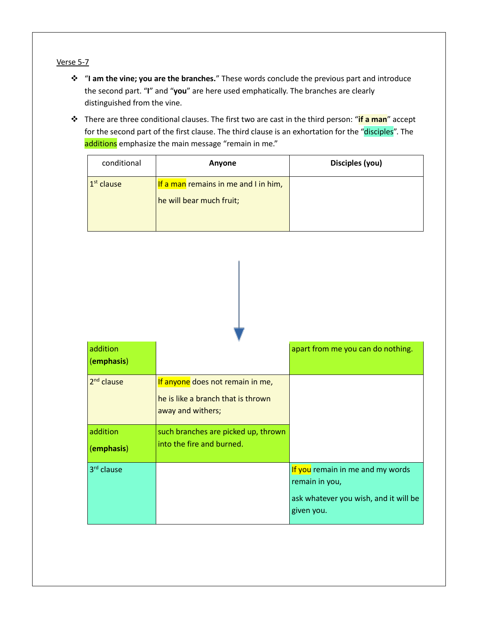## Verse 5-7

- ❖ "**I am the vine; you are the branches.**" These words conclude the previous part and introduce the second part. "**I**" and "**you**" are here used emphatically. The branches are clearly distinguished from the vine.
- ❖ There are three conditional clauses. The first two are cast in the third person: "**if a man**" accept for the second part of the first clause. The third clause is an exhortation for the "disciples". The additions emphasize the main message "remain in me."

| conditional  | Anyone                                                           | Disciples (you) |
|--------------|------------------------------------------------------------------|-----------------|
| $1st$ clause | If a man remains in me and I in him,<br>he will bear much fruit; |                 |

| addition<br>(emphasis) |                                                                                             | apart from me you can do nothing.                                                                         |
|------------------------|---------------------------------------------------------------------------------------------|-----------------------------------------------------------------------------------------------------------|
| $2nd$ clause           | If anyone does not remain in me,<br>he is like a branch that is thrown<br>away and withers; |                                                                                                           |
| addition<br>(emphasis) | such branches are picked up, thrown<br>into the fire and burned.                            |                                                                                                           |
| 3 <sup>rd</sup> clause |                                                                                             | If you remain in me and my words<br>remain in you,<br>ask whatever you wish, and it will be<br>given you. |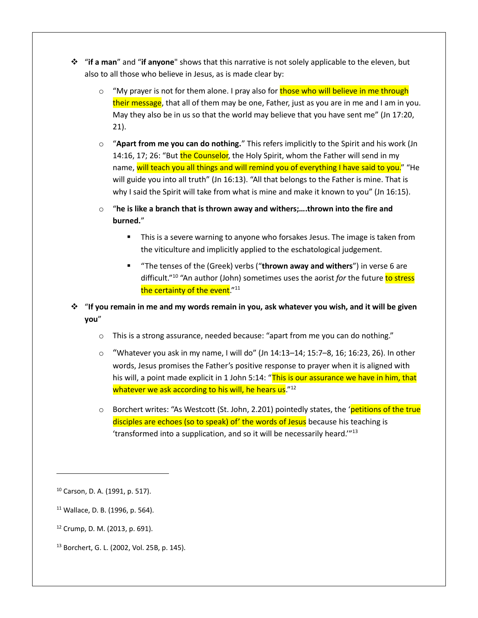- ❖ "**if a man**" and "**if anyone**" shows that this narrative is not solely applicable to the eleven, but also to all those who believe in Jesus, as is made clear by:
	- $\circ$  "My prayer is not for them alone. I pray also for those who will believe in me through their message, that all of them may be one, Father, just as you are in me and I am in you. May they also be in us so that the world may believe that you have sent me" (Jn 17:20, 21).
	- o "**Apart from me you can do nothing.**" This refers implicitly to the Spirit and his work (Jn 14:16, 17; 26: "But the Counselor, the Holy Spirit, whom the Father will send in my name, will teach you all things and will remind you of everything I have said to you." "He will guide you into all truth" (Jn 16:13). "All that belongs to the Father is mine. That is why I said the Spirit will take from what is mine and make it known to you" (Jn 16:15).
	- o "**he is like a branch that is thrown away and withers;….thrown into the fire and burned.**"
		- This is a severe warning to anyone who forsakes Jesus. The image is taken from the viticulture and implicitly applied to the eschatological judgement.
		- "The tenses of the (Greek) verbs ("**thrown away and withers**") in verse 6 are difficult."<sup>10</sup> "An author (John) sometimes uses the aorist *for* the future to stress the certainty of the event."<sup>11</sup>
- ❖ "**If you remain in me and my words remain in you, ask whatever you wish, and it will be given you**"
	- $\circ$  This is a strong assurance, needed because: "apart from me you can do nothing."
	- $\circ$  "Whatever you ask in my name, I will do" (Jn 14:13–14; 15:7–8, 16; 16:23, 26). In other words, Jesus promises the Father's positive response to prayer when it is aligned with his will, a point made explicit in 1 John 5:14: "This is our assurance we have in him, that whatever we ask according to his will, he hears us."<sup>12</sup>
	- $\circ$  Borchert writes: "As Westcott (St. John, 2.201) pointedly states, the 'petitions of the true disciples are echoes (so to speak) of' the words of Jesus because his teaching is 'transformed into a supplication, and so it will be necessarily heard.'"<sup>13</sup>

- <sup>11</sup> Wallace, D. B. (1996, p. 564).
- <sup>12</sup> Crump, D. M. (2013, p. 691).
- <sup>13</sup> Borchert, G. L. (2002, Vol. 25B, p. 145).

<sup>10</sup> Carson, D. A. (1991, p. 517).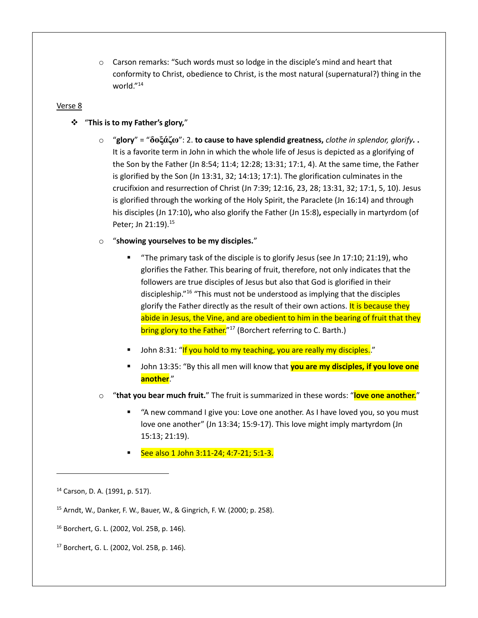$\circ$  Carson remarks: "Such words must so lodge in the disciple's mind and heart that conformity to Christ, obedience to Christ, is the most natural (supernatural?) thing in the world."<sup>14</sup>

#### Verse 8

### ❖ "**This is to my Father's glory,**"

o "**glory**" = "**δοξάζω**": 2. **to cause to have splendid greatness,** *clothe in splendor, glorify.* **.** It is a favorite term in John in which the whole life of Jesus is depicted as a glorifying of the Son by the Father (Jn 8:54; 11:4; 12:28; 13:31; 17:1, 4). At the same time, the Father is glorified by the Son (Jn 13:31, 32; 14:13; 17:1). The glorification culminates in the crucifixion and resurrection of Christ (Jn 7:39; 12:16, 23, 28; 13:31, 32; 17:1, 5, 10). Jesus is glorified through the working of the Holy Spirit, the Paraclete (Jn 16:14) and through his disciples (Jn 17:10)**,** who also glorify the Father (Jn 15:8)**,** especially in martyrdom (of Peter; Jn 21:19).<sup>15</sup>

### o "**showing yourselves to be my disciples.**"

- "The primary task of the disciple is to glorify Jesus (see Jn 17:10; 21:19), who glorifies the Father. This bearing of fruit, therefore, not only indicates that the followers are true disciples of Jesus but also that God is glorified in their discipleship."<sup>16</sup> "This must not be understood as implying that the disciples glorify the Father directly as the result of their own actions. It is because they abide in Jesus, the Vine, and are obedient to him in the bearing of fruit that they bring glory to the Father.<sup>"17</sup> (Borchert referring to C. Barth.)
- John 8:31: "If you hold to my teaching, you are really my disciples."
- John 13:35: "By this all men will know that **you are my disciples, if you love one another**."
- o "**that you bear much fruit.**" The fruit is summarized in these words: "**love one another.**"
	- "A new command I give you: Love one another. As I have loved you, so you must love one another" (Jn 13:34; 15:9-17). This love might imply martyrdom (Jn 15:13; 21:19).
	- See also 1 John 3:11-24; 4:7-21; 5:1-3.

<sup>14</sup> Carson, D. A. (1991, p. 517).

<sup>15</sup> Arndt, W., Danker, F. W., Bauer, W., & Gingrich, F. W. (2000; p. 258).

<sup>16</sup> Borchert, G. L. (2002, Vol. 25B, p. 146).

<sup>17</sup> Borchert, G. L. (2002, Vol. 25B, p. 146).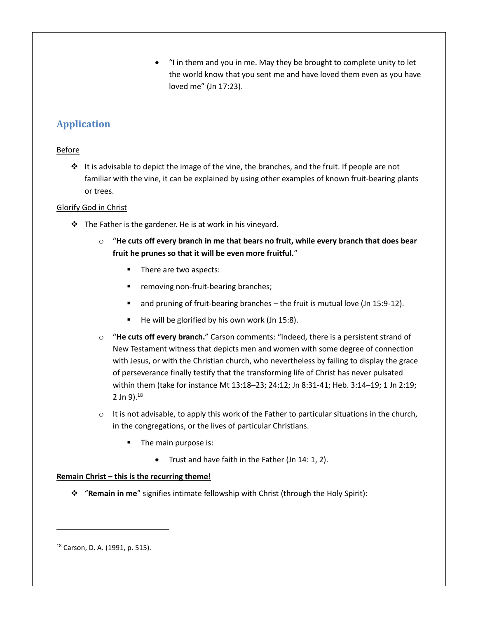• "I in them and you in me. May they be brought to complete unity to let the world know that you sent me and have loved them even as you have loved me" (Jn 17:23).

# **Application**

## **Before**

 $\div$  It is advisable to depict the image of the vine, the branches, and the fruit. If people are not familiar with the vine, it can be explained by using other examples of known fruit-bearing plants or trees.

## Glorify God in Christ

- $\cdot \cdot$  The Father is the gardener. He is at work in his vineyard.
	- o "**He cuts off every branch in me that bears no fruit, while every branch that does bear fruit he prunes so that it will be even more fruitful.**"
		- There are two aspects:
		- removing non-fruit-bearing branches;
		- and pruning of fruit-bearing branches the fruit is mutual love (Jn 15:9-12).
		- He will be glorified by his own work (Jn 15:8).
	- o "**He cuts off every branch.**" Carson comments: "Indeed, there is a persistent strand of New Testament witness that depicts men and women with some degree of connection with Jesus, or with the Christian church, who nevertheless by failing to display the grace of perseverance finally testify that the transforming life of Christ has never pulsated within them (take for instance Mt 13:18–23; 24:12; Jn 8:31-41; Heb. 3:14–19; 1 Jn 2:19; 2 Jn  $9$ ). $^{18}$
	- $\circ$  It is not advisable, to apply this work of the Father to particular situations in the church, in the congregations, or the lives of particular Christians.
		- The main purpose is:
			- Trust and have faith in the Father (Jn 14: 1, 2).

## **Remain Christ – this is the recurring theme!**

❖ "**Remain in me**" signifies intimate fellowship with Christ (through the Holy Spirit):

<sup>18</sup> Carson, D. A. (1991, p. 515).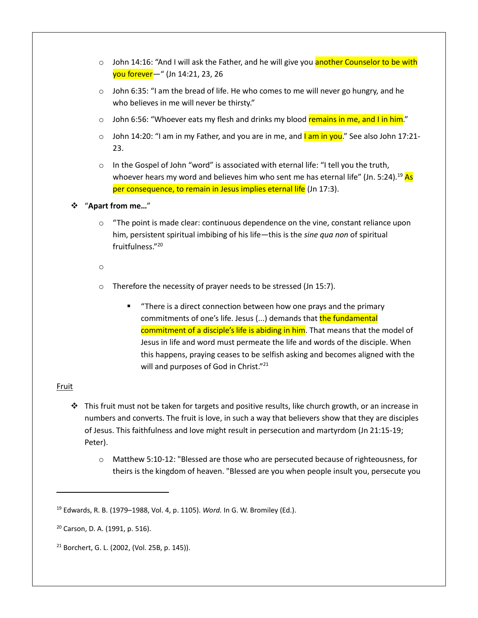- o John 14:16: "And I will ask the Father, and he will give you another Counselor to be with you forever—" (Jn 14:21, 23, 26
- $\circ$  John 6:35: "I am the bread of life. He who comes to me will never go hungry, and he who believes in me will never be thirsty."
- $\circ$  John 6:56: "Whoever eats my flesh and drinks my blood remains in me, and I in him."
- $\circ$  John 14:20: "I am in my Father, and you are in me, and I am in you." See also John 17:21-23.
- o In the Gospel of John "word" is associated with eternal life: "I tell you the truth, whoever hears my word and believes him who sent me has eternal life" (Jn. 5:24).<sup>19</sup> As per consequence, to remain in Jesus implies eternal life (Jn 17:3).
- ❖ "**Apart from me…**"
	- $\circ$  "The point is made clear: continuous dependence on the vine, constant reliance upon him, persistent spiritual imbibing of his life—this is the *sine qua non* of spiritual fruitfulness."<sup>20</sup>
	- o
	- o Therefore the necessity of prayer needs to be stressed (Jn 15:7).
		- "There is a direct connection between how one prays and the primary commitments of one's life. Jesus (...) demands that the fundamental commitment of a disciple's life is abiding in him. That means that the model of Jesus in life and word must permeate the life and words of the disciple. When this happens, praying ceases to be selfish asking and becomes aligned with the will and purposes of God in Christ."<sup>21</sup>

#### **Fruit**

- ❖ This fruit must not be taken for targets and positive results, like church growth, or an increase in numbers and converts. The fruit is love, in such a way that believers show that they are disciples of Jesus. This faithfulness and love might result in persecution and martyrdom (Jn 21:15-19; Peter).
	- o Matthew 5:10-12: "Blessed are those who are persecuted because of righteousness, for theirs is the kingdom of heaven. "Blessed are you when people insult you, persecute you

<sup>19</sup> Edwards, R. B. (1979–1988, Vol. 4, p. 1105). *Word.* In G. W. Bromiley (Ed.).

<sup>20</sup> Carson, D. A. (1991, p. 516).

<sup>21</sup> Borchert, G. L. (2002, (Vol. 25B, p. 145)).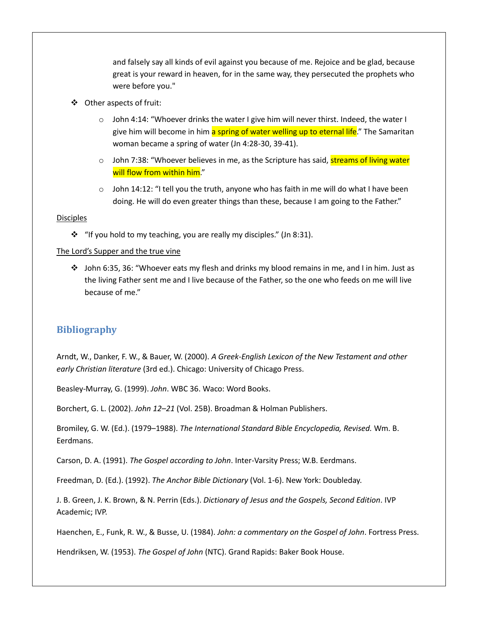and falsely say all kinds of evil against you because of me. Rejoice and be glad, because great is your reward in heaven, for in the same way, they persecuted the prophets who were before you."

- ❖ Other aspects of fruit:
	- $\circ$  John 4:14: "Whoever drinks the water I give him will never thirst. Indeed, the water I give him will become in him a spring of water welling up to eternal life." The Samaritan woman became a spring of water (Jn 4:28-30, 39-41).
	- $\circ$  John 7:38: "Whoever believes in me, as the Scripture has said, streams of living water will flow from within him."
	- $\circ$  John 14:12: "I tell you the truth, anyone who has faith in me will do what I have been doing. He will do even greater things than these, because I am going to the Father."

#### **Disciples**

❖ "If you hold to my teaching, you are really my disciples." (Jn 8:31).

#### The Lord's Supper and the true vine

❖ John 6:35, 36: "Whoever eats my flesh and drinks my blood remains in me, and I in him. Just as the living Father sent me and I live because of the Father, so the one who feeds on me will live because of me."

## **Bibliography**

Arndt, W., Danker, F. W., & Bauer, W. (2000). *A Greek-English Lexicon of the New Testament and other early Christian literature* (3rd ed.). Chicago: University of Chicago Press.

Beasley-Murray, G. (1999). *John*. WBC 36. Waco: Word Books.

Borchert, G. L. (2002). *John 12–21* (Vol. 25B). Broadman & Holman Publishers.

Bromiley, G. W. (Ed.). (1979–1988). *The International Standard Bible Encyclopedia, Revised.* Wm. B. Eerdmans.

Carson, D. A. (1991). *The Gospel according to John*. Inter-Varsity Press; W.B. Eerdmans.

Freedman, D. (Ed.). (1992). *The Anchor Bible Dictionary* (Vol. 1-6). New York: Doubleday.

J. B. Green, J. K. Brown, & N. Perrin (Eds.). *Dictionary of Jesus and the Gospels, Second Edition*. IVP Academic; IVP.

Haenchen, E., Funk, R. W., & Busse, U. (1984). *John: a commentary on the Gospel of John*. Fortress Press.

Hendriksen, W. (1953). *The Gospel of John* (NTC). Grand Rapids: Baker Book House.